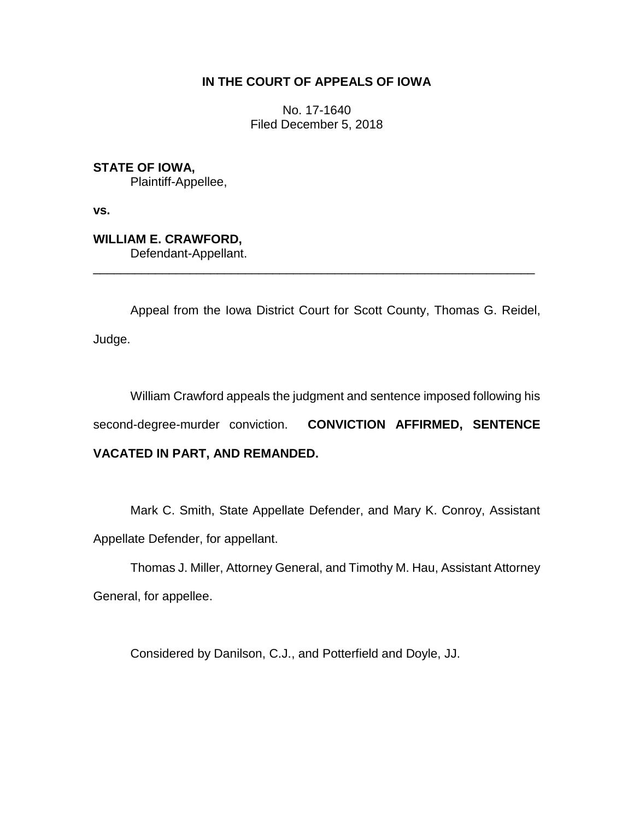## **IN THE COURT OF APPEALS OF IOWA**

No. 17-1640 Filed December 5, 2018

**STATE OF IOWA,** Plaintiff-Appellee,

**vs.**

**WILLIAM E. CRAWFORD,** Defendant-Appellant.

Appeal from the Iowa District Court for Scott County, Thomas G. Reidel, Judge.

\_\_\_\_\_\_\_\_\_\_\_\_\_\_\_\_\_\_\_\_\_\_\_\_\_\_\_\_\_\_\_\_\_\_\_\_\_\_\_\_\_\_\_\_\_\_\_\_\_\_\_\_\_\_\_\_\_\_\_\_\_\_\_\_

William Crawford appeals the judgment and sentence imposed following his second-degree-murder conviction. **CONVICTION AFFIRMED, SENTENCE VACATED IN PART, AND REMANDED.**

Mark C. Smith, State Appellate Defender, and Mary K. Conroy, Assistant Appellate Defender, for appellant.

Thomas J. Miller, Attorney General, and Timothy M. Hau, Assistant Attorney General, for appellee.

Considered by Danilson, C.J., and Potterfield and Doyle, JJ.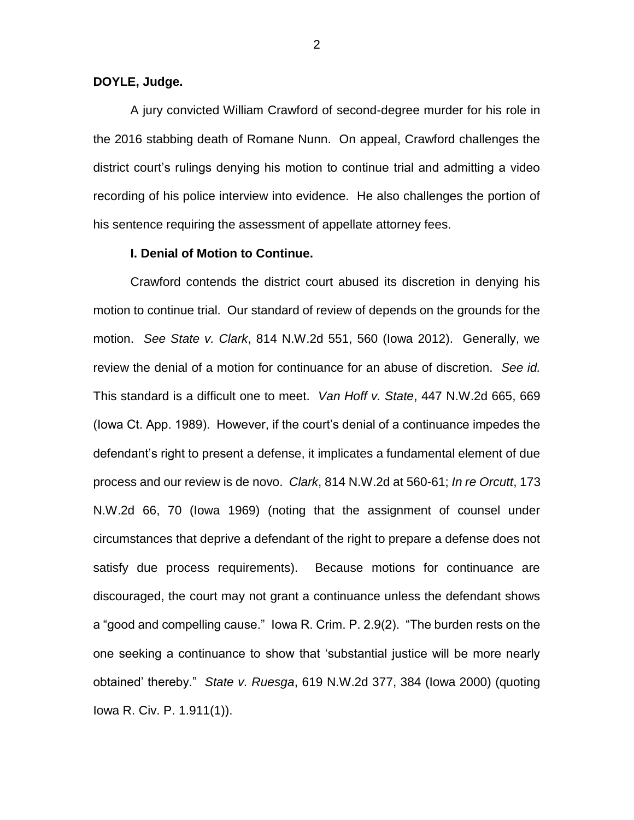#### **DOYLE, Judge.**

A jury convicted William Crawford of second-degree murder for his role in the 2016 stabbing death of Romane Nunn. On appeal, Crawford challenges the district court's rulings denying his motion to continue trial and admitting a video recording of his police interview into evidence. He also challenges the portion of his sentence requiring the assessment of appellate attorney fees.

#### **I. Denial of Motion to Continue.**

Crawford contends the district court abused its discretion in denying his motion to continue trial. Our standard of review of depends on the grounds for the motion. *See State v. Clark*, 814 N.W.2d 551, 560 (Iowa 2012). Generally, we review the denial of a motion for continuance for an abuse of discretion. *See id.* This standard is a difficult one to meet. *Van Hoff v. State*, 447 N.W.2d 665, 669 (Iowa Ct. App. 1989). However, if the court's denial of a continuance impedes the defendant's right to present a defense, it implicates a fundamental element of due process and our review is de novo. *Clark*, 814 N.W.2d at 560-61; *In re Orcutt*, 173 N.W.2d 66, 70 (Iowa 1969) (noting that the assignment of counsel under circumstances that deprive a defendant of the right to prepare a defense does not satisfy due process requirements). Because motions for continuance are discouraged, the court may not grant a continuance unless the defendant shows a "good and compelling cause." Iowa R. Crim. P. 2.9(2). "The burden rests on the one seeking a continuance to show that 'substantial justice will be more nearly obtained' thereby." *State v. Ruesga*, 619 N.W.2d 377, 384 (Iowa 2000) (quoting Iowa R. Civ. P. 1.911(1)).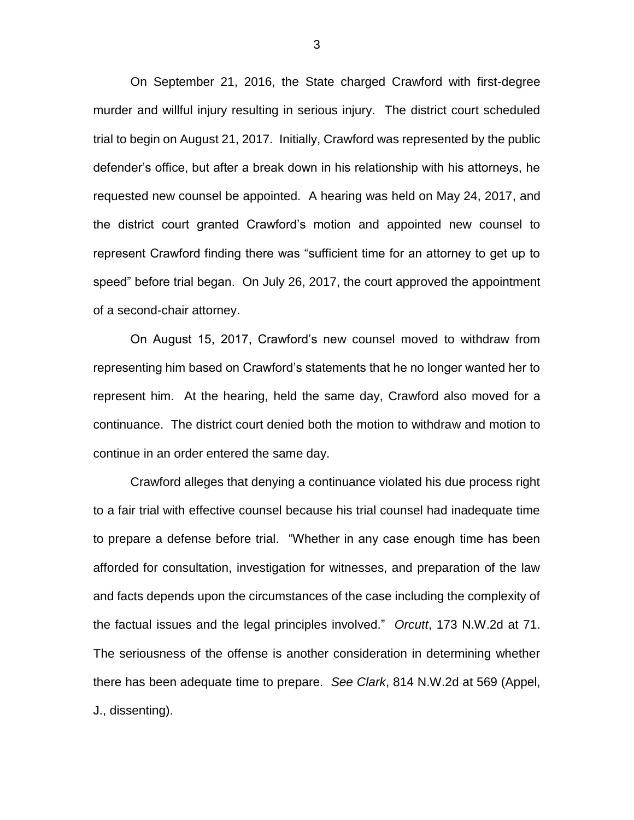On September 21, 2016, the State charged Crawford with first-degree murder and willful injury resulting in serious injury. The district court scheduled trial to begin on August 21, 2017. Initially, Crawford was represented by the public defender's office, but after a break down in his relationship with his attorneys, he requested new counsel be appointed. A hearing was held on May 24, 2017, and the district court granted Crawford's motion and appointed new counsel to represent Crawford finding there was "sufficient time for an attorney to get up to speed" before trial began. On July 26, 2017, the court approved the appointment of a second-chair attorney.

On August 15, 2017, Crawford's new counsel moved to withdraw from representing him based on Crawford's statements that he no longer wanted her to represent him. At the hearing, held the same day, Crawford also moved for a continuance. The district court denied both the motion to withdraw and motion to continue in an order entered the same day.

Crawford alleges that denying a continuance violated his due process right to a fair trial with effective counsel because his trial counsel had inadequate time to prepare a defense before trial. "Whether in any case enough time has been afforded for consultation, investigation for witnesses, and preparation of the law and facts depends upon the circumstances of the case including the complexity of the factual issues and the legal principles involved." *Orcutt*, 173 N.W.2d at 71. The seriousness of the offense is another consideration in determining whether there has been adequate time to prepare. *See Clark*, 814 N.W.2d at 569 (Appel, J., dissenting).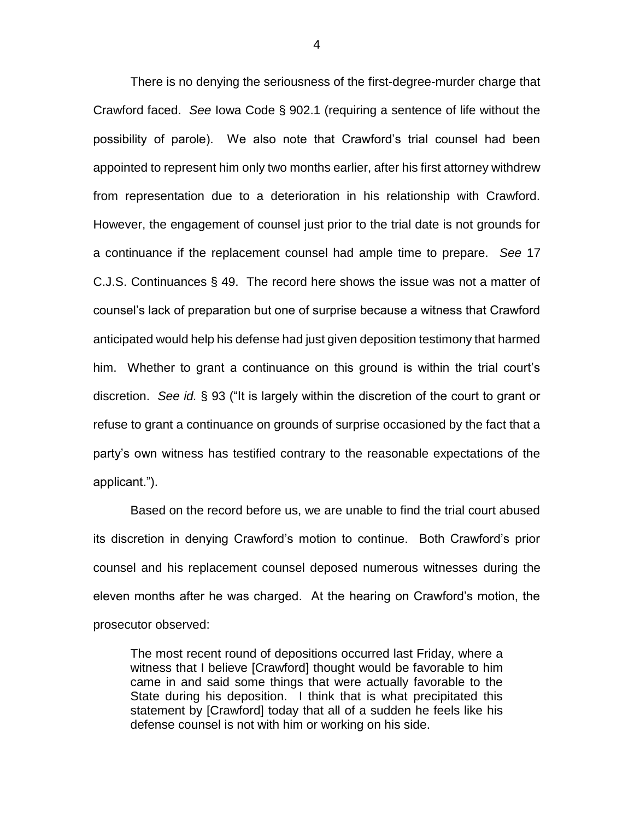There is no denying the seriousness of the first-degree-murder charge that Crawford faced. *See* Iowa Code § 902.1 (requiring a sentence of life without the possibility of parole). We also note that Crawford's trial counsel had been appointed to represent him only two months earlier, after his first attorney withdrew from representation due to a deterioration in his relationship with Crawford. However, the engagement of counsel just prior to the trial date is not grounds for a continuance if the replacement counsel had ample time to prepare. *See* 17 C.J.S. Continuances § 49. The record here shows the issue was not a matter of counsel's lack of preparation but one of surprise because a witness that Crawford anticipated would help his defense had just given deposition testimony that harmed him. Whether to grant a continuance on this ground is within the trial court's discretion. *See id.* § 93 ("It is largely within the discretion of the court to grant or refuse to grant a continuance on grounds of surprise occasioned by the fact that a party's own witness has testified contrary to the reasonable expectations of the applicant.").

Based on the record before us, we are unable to find the trial court abused its discretion in denying Crawford's motion to continue. Both Crawford's prior counsel and his replacement counsel deposed numerous witnesses during the eleven months after he was charged. At the hearing on Crawford's motion, the prosecutor observed:

The most recent round of depositions occurred last Friday, where a witness that I believe [Crawford] thought would be favorable to him came in and said some things that were actually favorable to the State during his deposition. I think that is what precipitated this statement by [Crawford] today that all of a sudden he feels like his defense counsel is not with him or working on his side.

4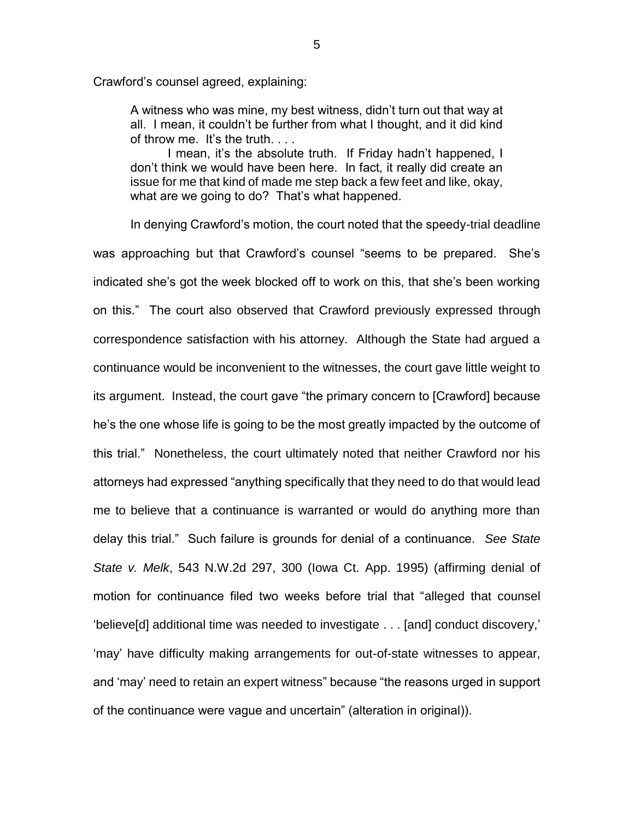Crawford's counsel agreed, explaining:

A witness who was mine, my best witness, didn't turn out that way at all. I mean, it couldn't be further from what I thought, and it did kind of throw me. It's the truth. . . .

I mean, it's the absolute truth. If Friday hadn't happened, I don't think we would have been here. In fact, it really did create an issue for me that kind of made me step back a few feet and like, okay, what are we going to do? That's what happened.

In denying Crawford's motion, the court noted that the speedy-trial deadline was approaching but that Crawford's counsel "seems to be prepared. She's indicated she's got the week blocked off to work on this, that she's been working on this." The court also observed that Crawford previously expressed through correspondence satisfaction with his attorney. Although the State had argued a continuance would be inconvenient to the witnesses, the court gave little weight to its argument. Instead, the court gave "the primary concern to [Crawford] because he's the one whose life is going to be the most greatly impacted by the outcome of this trial." Nonetheless, the court ultimately noted that neither Crawford nor his attorneys had expressed "anything specifically that they need to do that would lead me to believe that a continuance is warranted or would do anything more than delay this trial." Such failure is grounds for denial of a continuance. *See State State v. Melk*, 543 N.W.2d 297, 300 (Iowa Ct. App. 1995) (affirming denial of motion for continuance filed two weeks before trial that "alleged that counsel 'believe[d] additional time was needed to investigate . . . [and] conduct discovery,' 'may' have difficulty making arrangements for out-of-state witnesses to appear, and 'may' need to retain an expert witness" because "the reasons urged in support of the continuance were vague and uncertain" (alteration in original)).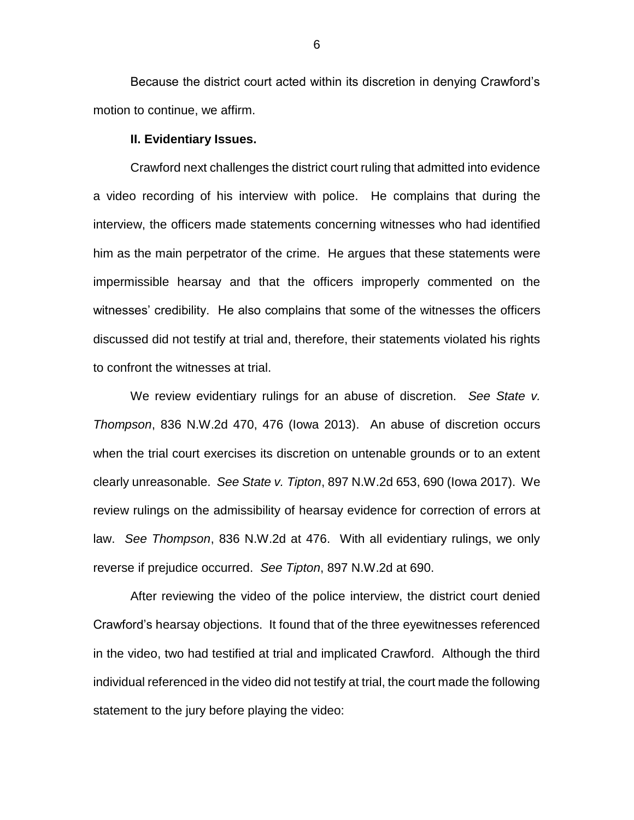Because the district court acted within its discretion in denying Crawford's motion to continue, we affirm.

#### **II. Evidentiary Issues.**

Crawford next challenges the district court ruling that admitted into evidence a video recording of his interview with police. He complains that during the interview, the officers made statements concerning witnesses who had identified him as the main perpetrator of the crime. He argues that these statements were impermissible hearsay and that the officers improperly commented on the witnesses' credibility. He also complains that some of the witnesses the officers discussed did not testify at trial and, therefore, their statements violated his rights to confront the witnesses at trial.

We review evidentiary rulings for an abuse of discretion. *See State v. Thompson*, 836 N.W.2d 470, 476 (Iowa 2013). An abuse of discretion occurs when the trial court exercises its discretion on untenable grounds or to an extent clearly unreasonable. *See State v. Tipton*, 897 N.W.2d 653, 690 (Iowa 2017). We review rulings on the admissibility of hearsay evidence for correction of errors at law. *See Thompson*, 836 N.W.2d at 476. With all evidentiary rulings, we only reverse if prejudice occurred. *See Tipton*, 897 N.W.2d at 690.

After reviewing the video of the police interview, the district court denied Crawford's hearsay objections. It found that of the three eyewitnesses referenced in the video, two had testified at trial and implicated Crawford. Although the third individual referenced in the video did not testify at trial, the court made the following statement to the jury before playing the video: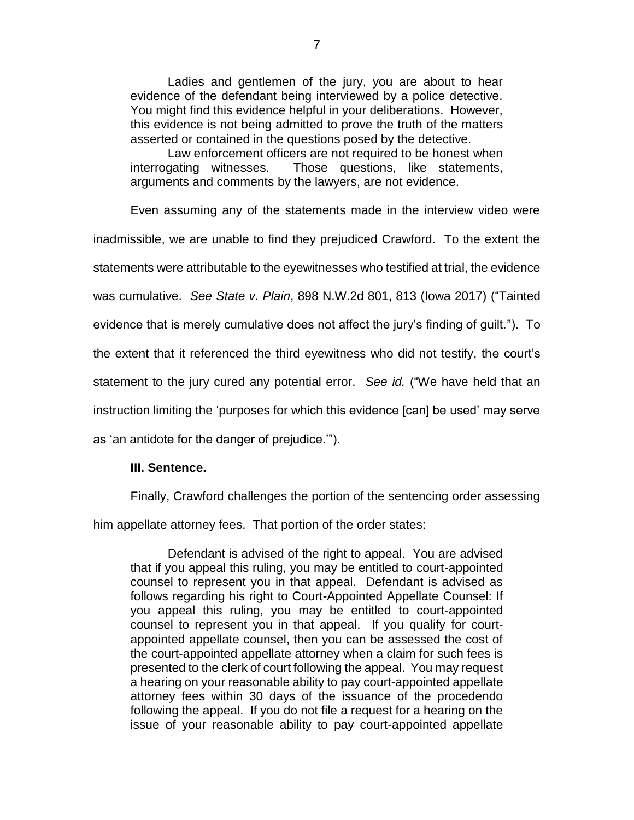Ladies and gentlemen of the jury, you are about to hear evidence of the defendant being interviewed by a police detective. You might find this evidence helpful in your deliberations. However, this evidence is not being admitted to prove the truth of the matters asserted or contained in the questions posed by the detective.

Law enforcement officers are not required to be honest when interrogating witnesses. Those questions, like statements, arguments and comments by the lawyers, are not evidence.

Even assuming any of the statements made in the interview video were inadmissible, we are unable to find they prejudiced Crawford. To the extent the statements were attributable to the eyewitnesses who testified at trial, the evidence was cumulative. *See State v. Plain*, 898 N.W.2d 801, 813 (Iowa 2017) ("Tainted evidence that is merely cumulative does not affect the jury's finding of guilt*.*"). To the extent that it referenced the third eyewitness who did not testify, the court's statement to the jury cured any potential error. *See id.* ("We have held that an instruction limiting the 'purposes for which this evidence [can] be used' may serve as 'an antidote for the danger of prejudice.'").

### **III. Sentence.**

Finally, Crawford challenges the portion of the sentencing order assessing

him appellate attorney fees. That portion of the order states:

Defendant is advised of the right to appeal. You are advised that if you appeal this ruling, you may be entitled to court-appointed counsel to represent you in that appeal. Defendant is advised as follows regarding his right to Court-Appointed Appellate Counsel: If you appeal this ruling, you may be entitled to court-appointed counsel to represent you in that appeal. If you qualify for courtappointed appellate counsel, then you can be assessed the cost of the court-appointed appellate attorney when a claim for such fees is presented to the clerk of court following the appeal. You may request a hearing on your reasonable ability to pay court-appointed appellate attorney fees within 30 days of the issuance of the procedendo following the appeal. If you do not file a request for a hearing on the issue of your reasonable ability to pay court-appointed appellate